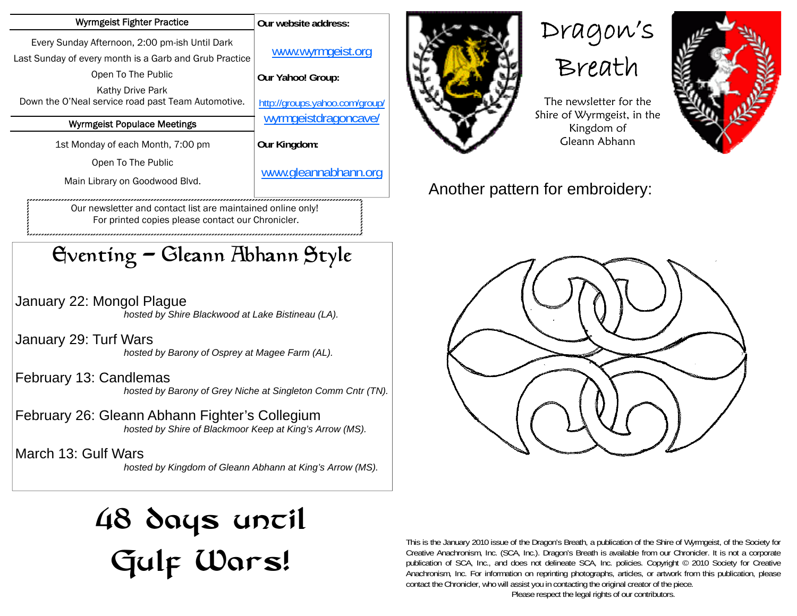| Wyrmgeist Fighter Practice                                                                               | Our website address:           |
|----------------------------------------------------------------------------------------------------------|--------------------------------|
| Every Sunday Afternoon, 2:00 pm-ish Until Dark<br>Last Sunday of every month is a Garb and Grub Practice | www.wyrmgeist.org              |
| Open To The Public                                                                                       | Our Yahoo! Group:              |
| Kathy Drive Park<br>Down the O'Neal service road past Team Automotive.                                   | http://groups.yahoo.com/group/ |
| <b>Wyrmgeist Populace Meetings</b>                                                                       | wyrmgeistdragoncave/           |
| 1st Monday of each Month, 7:00 pm                                                                        | Our Kingdom:                   |
| Open To The Public                                                                                       |                                |
| Main Library on Goodwood Blvd.                                                                           | www.gleannabhann.org           |

Our newsletter and contact list are maintained online only! For printed copies please contact our Chronicler.

## Eventing - Gleann Abhann Style

January 22: Mongol Plague  *hosted by Shire Blackwood at Lake Bistineau (LA).* 

January 29: Turf Wars  *hosted by Barony of Osprey at Magee Farm (AL).* 

February 13: Candlemas  *hosted by Barony of Grey Niche at Singleton Comm Cntr (TN).* 

February 26: Gleann Abhann Fighter's Collegium  *hosted by Shire of Blackmoor Keep at King's Arrow (MS).* 

March 13: Gulf Wars  *hosted by Kingdom of Gleann Abhann at King's Arrow (MS).* 

## 48 days uncil Gulf Wars!









The newsletter for the Shire of Wyrmgeist, in the Kingdom of Gleann Abhann

## Another pattern for embroidery:





This is the January 2010 issue of the Dragon's Breath, a publication of the Shire of Wyrmgeist, of the Society for Creative Anachronism, Inc. (SCA, Inc.). Dragon's Breath is available from our Chronicler. It is not a corporate publication of SCA, Inc., and does not delineate SCA, Inc. policies. Copyright © 2010 Society for Creative Anachronism, Inc. For information on reprinting photographs, articles, or artwork from this publication, please contact the Chronicler, who will assist you in contacting the original creator of the piece.

Please respect the legal rights of our contributors.